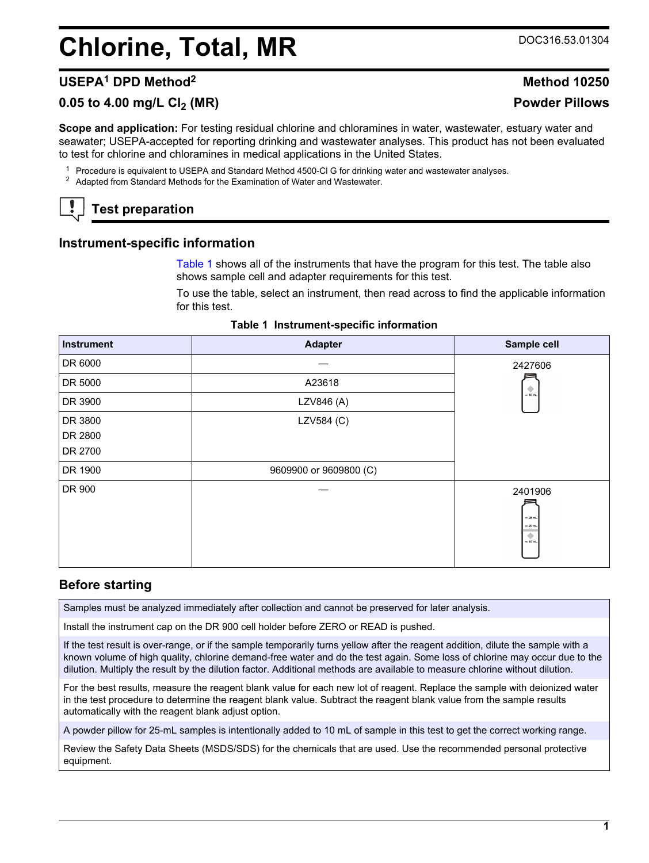# **Chlorine, Total, MR** DOC316.53.01304

# **USEPA<sup>1</sup> DPD Method<sup>2</sup> Method 10250**

# **0.05 to 4.00 mg/L Cl2 (MR) Powder Pillows**

**Scope and application:** For testing residual chlorine and chloramines in water, wastewater, estuary water and seawater; USEPA-accepted for reporting drinking and wastewater analyses. This product has not been evaluated to test for chlorine and chloramines in medical applications in the United States.

<sup>1</sup> Procedure is equivalent to USEPA and Standard Method 4500-Cl G for drinking water and wastewater analyses.

<sup>2</sup> Adapted from Standard Methods for the Examination of Water and Wastewater.

# **Test preparation**

## **Instrument-specific information**

[Table 1](#page-0-0) shows all of the instruments that have the program for this test. The table also shows sample cell and adapter requirements for this test.

To use the table, select an instrument, then read across to find the applicable information for this test.

<span id="page-0-1"></span><span id="page-0-0"></span>

| <b>Instrument</b> | <b>Adapter</b>         | Sample cell                                        |
|-------------------|------------------------|----------------------------------------------------|
| DR 6000           |                        | 2427606                                            |
| DR 5000           | A23618                 | ۰                                                  |
| DR 3900           | LZV846 (A)             | $= 10$ mL                                          |
| DR 3800           | LZV584 (C)             |                                                    |
| DR 2800           |                        |                                                    |
| DR 2700           |                        |                                                    |
| DR 1900           | 9609900 or 9609800 (C) |                                                    |
| DR 900            |                        | 2401906<br>$-25$ mL<br>$= 20$ mL<br>۰<br>$= 10$ mL |

#### **Table 1 Instrument-specific information**

## **Before starting**

Samples must be analyzed immediately after collection and cannot be preserved for later analysis.

Install the instrument cap on the DR 900 cell holder before ZERO or READ is pushed.

If the test result is over-range, or if the sample temporarily turns yellow after the reagent addition, dilute the sample with a known volume of high quality, chlorine demand-free water and do the test again. Some loss of chlorine may occur due to the dilution. Multiply the result by the dilution factor. Additional methods are available to measure chlorine without dilution.

For the best results, measure the reagent blank value for each new lot of reagent. Replace the sample with deionized water in the test procedure to determine the reagent blank value. Subtract the reagent blank value from the sample results automatically with the reagent blank adjust option.

A powder pillow for 25-mL samples is intentionally added to 10 mL of sample in this test to get the correct working range.

Review the Safety Data Sheets (MSDS/SDS) for the chemicals that are used. Use the recommended personal protective equipment.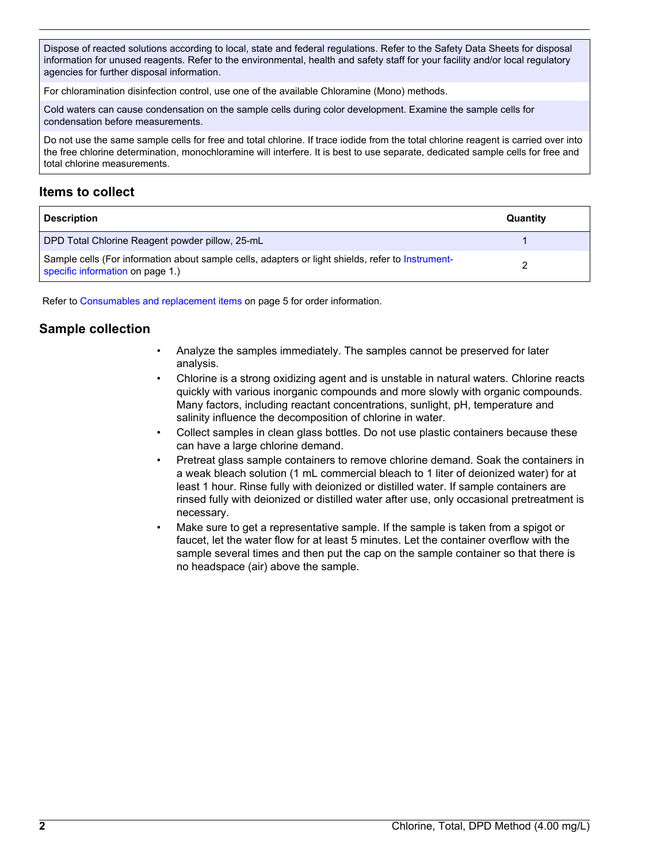Dispose of reacted solutions according to local, state and federal regulations. Refer to the Safety Data Sheets for disposal information for unused reagents. Refer to the environmental, health and safety staff for your facility and/or local regulatory agencies for further disposal information.

For chloramination disinfection control, use one of the available Chloramine (Mono) methods.

Cold waters can cause condensation on the sample cells during color development. Examine the sample cells for condensation before measurements.

Do not use the same sample cells for free and total chlorine. If trace iodide from the total chlorine reagent is carried over into the free chlorine determination, monochloramine will interfere. It is best to use separate, dedicated sample cells for free and total chlorine measurements.

## **Items to collect**

| <b>Description</b>                                                                                                                    | Quantity |
|---------------------------------------------------------------------------------------------------------------------------------------|----------|
| DPD Total Chlorine Reagent powder pillow, 25-mL                                                                                       |          |
| Sample cells (For information about sample cells, adapters or light shields, refer to Instrument-<br>specific information on page 1.) |          |

Refer to [Consumables and replacement items](#page-4-0) on page 5 for order information.

# **Sample collection**

- Analyze the samples immediately. The samples cannot be preserved for later analysis.
- Chlorine is a strong oxidizing agent and is unstable in natural waters. Chlorine reacts quickly with various inorganic compounds and more slowly with organic compounds. Many factors, including reactant concentrations, sunlight, pH, temperature and salinity influence the decomposition of chlorine in water.
- Collect samples in clean glass bottles. Do not use plastic containers because these can have a large chlorine demand.
- Pretreat glass sample containers to remove chlorine demand. Soak the containers in a weak bleach solution (1 mL commercial bleach to 1 liter of deionized water) for at least 1 hour. Rinse fully with deionized or distilled water. If sample containers are rinsed fully with deionized or distilled water after use, only occasional pretreatment is necessary.
- Make sure to get a representative sample. If the sample is taken from a spigot or faucet, let the water flow for at least 5 minutes. Let the container overflow with the sample several times and then put the cap on the sample container so that there is no headspace (air) above the sample.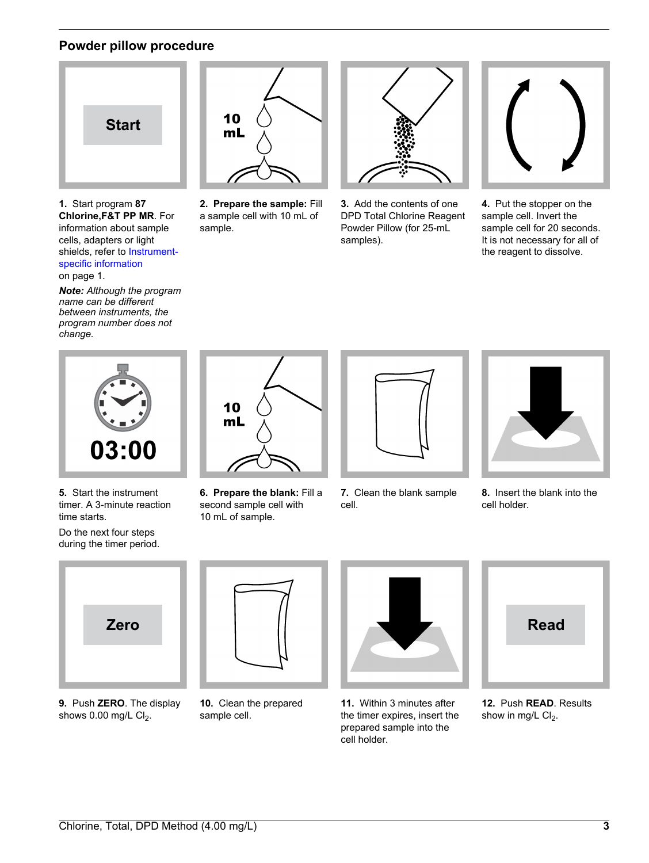## **Powder pillow procedure**



**1.** Start program **87 Chlorine,F&T PP MR**. For information about sample cells, adapters or light shields, refer to [Instrument](#page-0-1)[specific information](#page-0-1) on page 1.

*Note: Although the program name can be different between instruments, the program number does not change.*



**2. Prepare the sample:** Fill a sample cell with 10 mL of sample.



**3.** Add the contents of one DPD Total Chlorine Reagent Powder Pillow (for 25-mL samples).



**4.** Put the stopper on the sample cell. Invert the sample cell for 20 seconds. It is not necessary for all of the reagent to dissolve.



**5.** Start the instrument timer. A 3-minute reaction time starts.

Do the next four steps during the timer period.



**6. Prepare the blank:** Fill a second sample cell with 10 mL of sample.



**7.** Clean the blank sample cell.



**8.** Insert the blank into the cell holder.



**9.** Push **ZERO**. The display shows  $0.00$  mg/L  $Cl<sub>2</sub>$ .



**10.** Clean the prepared sample cell.



**11.** Within 3 minutes after the timer expires, insert the prepared sample into the cell holder.



**12.** Push **READ**. Results show in mg/L  $Cl<sub>2</sub>$ .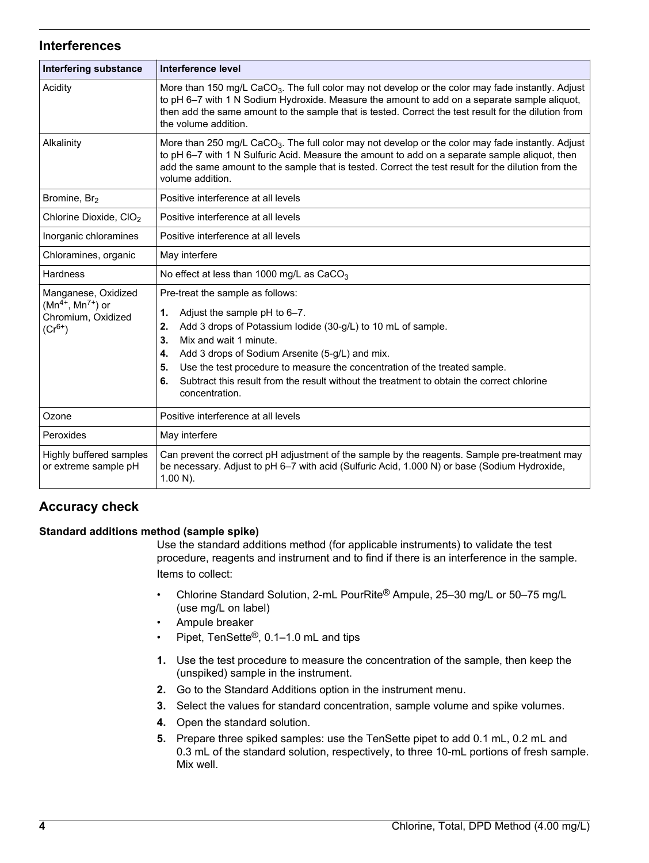#### **Interferences**

| Interfering substance                                                               | Interference level                                                                                                                                                                                                                                                                                                                                                                                                                             |  |
|-------------------------------------------------------------------------------------|------------------------------------------------------------------------------------------------------------------------------------------------------------------------------------------------------------------------------------------------------------------------------------------------------------------------------------------------------------------------------------------------------------------------------------------------|--|
| Acidity                                                                             | More than 150 mg/L CaCO <sub>3</sub> . The full color may not develop or the color may fade instantly. Adjust<br>to pH 6-7 with 1 N Sodium Hydroxide. Measure the amount to add on a separate sample aliquot,<br>then add the same amount to the sample that is tested. Correct the test result for the dilution from<br>the volume addition.                                                                                                  |  |
| Alkalinity                                                                          | More than 250 mg/L CaCO <sub>3</sub> . The full color may not develop or the color may fade instantly. Adjust<br>to pH 6-7 with 1 N Sulfuric Acid. Measure the amount to add on a separate sample aliquot, then<br>add the same amount to the sample that is tested. Correct the test result for the dilution from the<br>volume addition.                                                                                                     |  |
| Bromine, Br <sub>2</sub>                                                            | Positive interference at all levels                                                                                                                                                                                                                                                                                                                                                                                                            |  |
| Chlorine Dioxide, CIO <sub>2</sub>                                                  | Positive interference at all levels                                                                                                                                                                                                                                                                                                                                                                                                            |  |
| Inorganic chloramines                                                               | Positive interference at all levels                                                                                                                                                                                                                                                                                                                                                                                                            |  |
| Chloramines, organic                                                                | May interfere                                                                                                                                                                                                                                                                                                                                                                                                                                  |  |
| <b>Hardness</b>                                                                     | No effect at less than 1000 mg/L as CaCO <sub>3</sub>                                                                                                                                                                                                                                                                                                                                                                                          |  |
| Manganese, Oxidized<br>$(Mn^{4+}, Mn^{7+})$ or<br>Chromium, Oxidized<br>$(Cr^{6+})$ | Pre-treat the sample as follows:<br>Adjust the sample pH to 6-7.<br>1.<br>Add 3 drops of Potassium lodide (30-g/L) to 10 mL of sample.<br>2.<br>Mix and wait 1 minute.<br>3.<br>Add 3 drops of Sodium Arsenite (5-g/L) and mix.<br>4.<br>Use the test procedure to measure the concentration of the treated sample.<br>5.<br>Subtract this result from the result without the treatment to obtain the correct chlorine<br>6.<br>concentration. |  |
| Ozone                                                                               | Positive interference at all levels                                                                                                                                                                                                                                                                                                                                                                                                            |  |
| Peroxides                                                                           | May interfere                                                                                                                                                                                                                                                                                                                                                                                                                                  |  |
| Highly buffered samples<br>or extreme sample pH                                     | Can prevent the correct pH adjustment of the sample by the reagents. Sample pre-treatment may<br>be necessary. Adjust to pH 6-7 with acid (Sulfuric Acid, 1.000 N) or base (Sodium Hydroxide,<br>$1.00 N$ ).                                                                                                                                                                                                                                   |  |

# **Accuracy check**

#### **Standard additions method (sample spike)**

Use the standard additions method (for applicable instruments) to validate the test procedure, reagents and instrument and to find if there is an interference in the sample. Items to collect:

- Chlorine Standard Solution, 2-mL PourRite® Ampule, 25–30 mg/L or 50–75 mg/L (use mg/L on label)
- Ampule breaker
- Pipet, TenSette®, 0.1–1.0 mL and tips
- **1.** Use the test procedure to measure the concentration of the sample, then keep the (unspiked) sample in the instrument.
- **2.** Go to the Standard Additions option in the instrument menu.
- **3.** Select the values for standard concentration, sample volume and spike volumes.
- **4.** Open the standard solution.
- **5.** Prepare three spiked samples: use the TenSette pipet to add 0.1 mL, 0.2 mL and 0.3 mL of the standard solution, respectively, to three 10-mL portions of fresh sample. Mix well.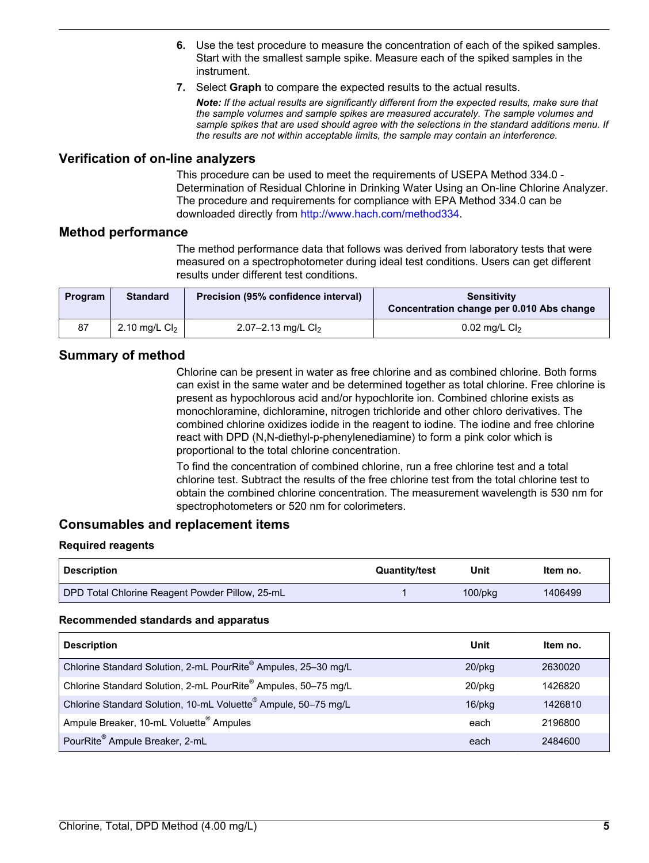- **6.** Use the test procedure to measure the concentration of each of the spiked samples. Start with the smallest sample spike. Measure each of the spiked samples in the instrument.
- **7.** Select **Graph** to compare the expected results to the actual results.

*Note: If the actual results are significantly different from the expected results, make sure that the sample volumes and sample spikes are measured accurately. The sample volumes and sample spikes that are used should agree with the selections in the standard additions menu. If the results are not within acceptable limits, the sample may contain an interference.*

#### **Verification of on-line analyzers**

This procedure can be used to meet the requirements of USEPA Method 334.0 - Determination of Residual Chlorine in Drinking Water Using an On-line Chlorine Analyzer. The procedure and requirements for compliance with EPA Method 334.0 can be downloaded directly from [http://www.hach.com/method334.](http://www.hach.com/method334)

#### **Method performance**

The method performance data that follows was derived from laboratory tests that were measured on a spectrophotometer during ideal test conditions. Users can get different results under different test conditions.

| <b>Program</b> | <b>Standard</b> | Precision (95% confidence interval) | <b>Sensitivity</b><br>Concentration change per 0.010 Abs change |
|----------------|-----------------|-------------------------------------|-----------------------------------------------------------------|
| 87             | 2.10 mg/L $Cl2$ | 2.07-2.13 mg/L $Cl2$                | $0.02$ mg/L Cl <sub>2</sub>                                     |

## **Summary of method**

Chlorine can be present in water as free chlorine and as combined chlorine. Both forms can exist in the same water and be determined together as total chlorine. Free chlorine is present as hypochlorous acid and/or hypochlorite ion. Combined chlorine exists as monochloramine, dichloramine, nitrogen trichloride and other chloro derivatives. The combined chlorine oxidizes iodide in the reagent to iodine. The iodine and free chlorine react with DPD (N,N-diethyl-p-phenylenediamine) to form a pink color which is proportional to the total chlorine concentration.

To find the concentration of combined chlorine, run a free chlorine test and a total chlorine test. Subtract the results of the free chlorine test from the total chlorine test to obtain the combined chlorine concentration. The measurement wavelength is 530 nm for spectrophotometers or 520 nm for colorimeters.

#### **Consumables and replacement items**

#### **Required reagents**

| <b>Description</b>                              | <b>Quantity/test</b> | Unit          | Item no. |
|-------------------------------------------------|----------------------|---------------|----------|
| DPD Total Chlorine Reagent Powder Pillow, 25-mL |                      | $100$ /p $ka$ | 1406499  |

#### **Recommended standards and apparatus**

<span id="page-4-0"></span>

| <b>Description</b>                                                         | Unit      | ltem no. |
|----------------------------------------------------------------------------|-----------|----------|
| Chlorine Standard Solution, 2-mL PourRite® Ampules, 25-30 mg/L             | $20$ /pkq | 2630020  |
| Chlorine Standard Solution, 2-mL PourRite® Ampules, 50-75 mg/L             | 20/pkg    | 1426820  |
| Chlorine Standard Solution, 10-mL Voluette <sup>®</sup> Ampule, 50-75 mg/L | $16$ /pkg | 1426810  |
| Ampule Breaker, 10-mL Voluette <sup>®</sup> Ampules                        | each      | 2196800  |
| PourRite <sup>®</sup> Ampule Breaker, 2-mL                                 | each      | 2484600  |